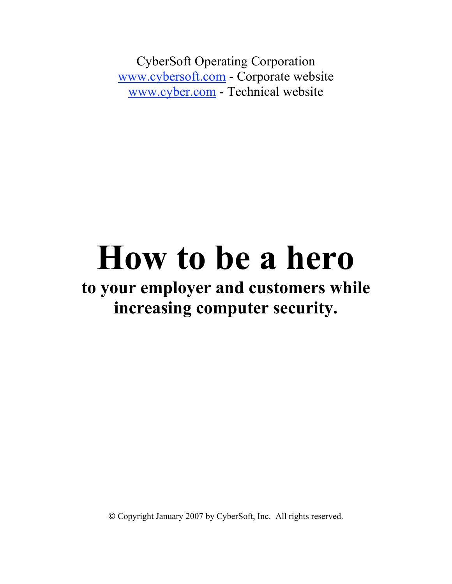CyberSoft Operating Corporation www.cybersoft.com - Corporate website www.cyber.com - Technical website

# **How to be a hero**

# **to your employer and customers while increasing computer security.**

© Copyright January 2007 by CyberSoft, Inc. All rights reserved.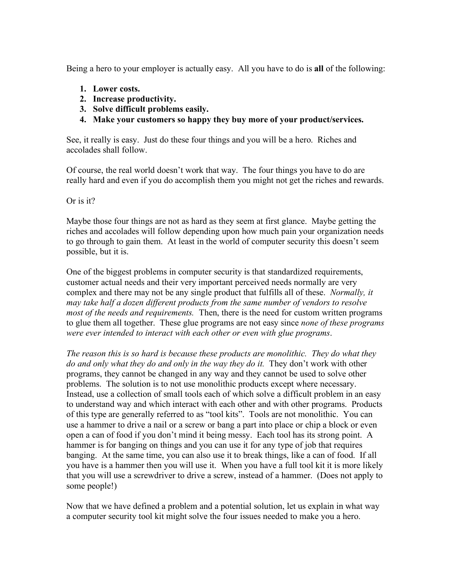Being a hero to your employer is actually easy. All you have to do is **all** of the following:

- **1. Lower costs.**
- **2. Increase productivity.**
- **3. Solve difficult problems easily.**
- **4. Make your customers so happy they buy more of your product/services.**

See, it really is easy. Just do these four things and you will be a hero. Riches and accolades shall follow.

Of course, the real world doesn't work that way. The four things you have to do are really hard and even if you do accomplish them you might not get the riches and rewards.

## Or is it?

Maybe those four things are not as hard as they seem at first glance. Maybe getting the riches and accolades will follow depending upon how much pain your organization needs to go through to gain them. At least in the world of computer security this doesn't seem possible, but it is.

One of the biggest problems in computer security is that standardized requirements, customer actual needs and their very important perceived needs normally are very complex and there may not be any single product that fulfills all of these. *Normally, it may take half a dozen different products from the same number of vendors to resolve most of the needs and requirements.* Then, there is the need for custom written programs to glue them all together. These glue programs are not easy since *none of these programs were ever intended to interact with each other or even with glue programs*.

*The reason this is so hard is because these products are monolithic. They do what they do and only what they do and only in the way they do it.* They don't work with other programs, they cannot be changed in any way and they cannot be used to solve other problems. The solution is to not use monolithic products except where necessary. Instead, use a collection of small tools each of which solve a difficult problem in an easy to understand way and which interact with each other and with other programs. Products of this type are generally referred to as "tool kits". Tools are not monolithic. You can use a hammer to drive a nail or a screw or bang a part into place or chip a block or even open a can of food if you don't mind it being messy. Each tool has its strong point. A hammer is for banging on things and you can use it for any type of job that requires banging. At the same time, you can also use it to break things, like a can of food. If all you have is a hammer then you will use it. When you have a full tool kit it is more likely that you will use a screwdriver to drive a screw, instead of a hammer. (Does not apply to some people!)

Now that we have defined a problem and a potential solution, let us explain in what way a computer security tool kit might solve the four issues needed to make you a hero.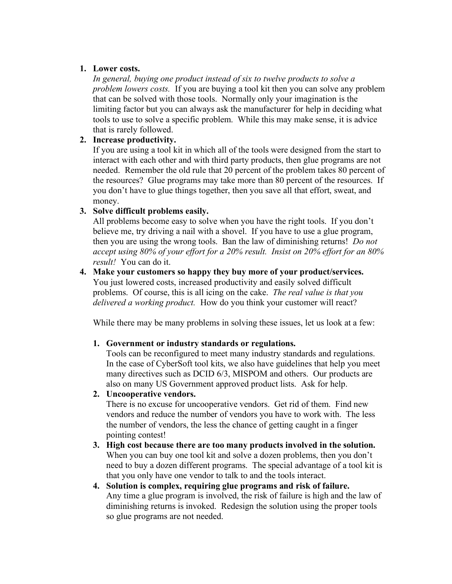#### **1. Lower costs.**

*In general, buying one product instead of six to twelve products to solve a problem lowers costs.* If you are buying a tool kit then you can solve any problem that can be solved with those tools. Normally only your imagination is the limiting factor but you can always ask the manufacturer for help in deciding what tools to use to solve a specific problem. While this may make sense, it is advice that is rarely followed.

#### **2. Increase productivity.**

If you are using a tool kit in which all of the tools were designed from the start to interact with each other and with third party products, then glue programs are not needed. Remember the old rule that 20 percent of the problem takes 80 percent of the resources? Glue programs may take more than 80 percent of the resources. If you don't have to glue things together, then you save all that effort, sweat, and money.

## **3. Solve difficult problems easily.**

All problems become easy to solve when you have the right tools. If you don't believe me, try driving a nail with a shovel. If you have to use a glue program, then you are using the wrong tools. Ban the law of diminishing returns! *Do not accept using 80% of your effort for a 20% result. Insist on 20% effort for an 80% result!* You can do it.

#### **4. Make your customers so happy they buy more of your product/services.** You just lowered costs, increased productivity and easily solved difficult problems. Of course, this is all icing on the cake. *The real value is that you*

*delivered a working product.* How do you think your customer will react?

While there may be many problems in solving these issues, let us look at a few:

## **1. Government or industry standards or regulations.**

Tools can be reconfigured to meet many industry standards and regulations. In the case of CyberSoft tool kits, we also have guidelines that help you meet many directives such as DCID 6/3, MISPOM and others. Our products are also on many US Government approved product lists. Ask for help.

## **2. Uncooperative vendors.**

There is no excuse for uncooperative vendors. Get rid of them. Find new vendors and reduce the number of vendors you have to work with. The less the number of vendors, the less the chance of getting caught in a finger pointing contest!

- **3. High cost because there are too many products involved in the solution.** When you can buy one tool kit and solve a dozen problems, then you don't need to buy a dozen different programs. The special advantage of a tool kit is that you only have one vendor to talk to and the tools interact.
- **4. Solution is complex, requiring glue programs and risk of failure.** Any time a glue program is involved, the risk of failure is high and the law of diminishing returns is invoked. Redesign the solution using the proper tools so glue programs are not needed.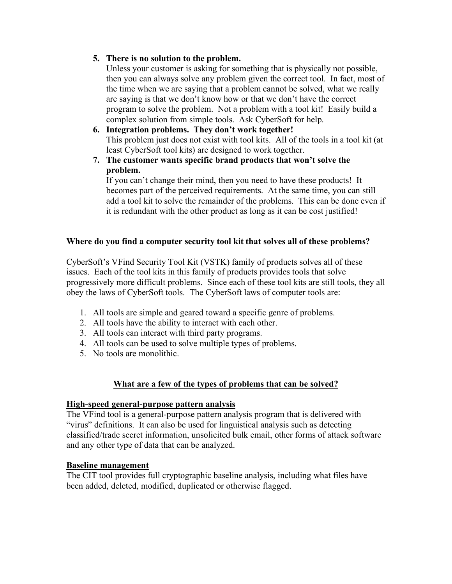#### **5. There is no solution to the problem.**

Unless your customer is asking for something that is physically not possible, then you can always solve any problem given the correct tool. In fact, most of the time when we are saying that a problem cannot be solved, what we really are saying is that we don't know how or that we don't have the correct program to solve the problem. Not a problem with a tool kit! Easily build a complex solution from simple tools. Ask CyberSoft for help.

- **6. Integration problems. They don't work together!** This problem just does not exist with tool kits. All of the tools in a tool kit (at least CyberSoft tool kits) are designed to work together.
- **7. The customer wants specific brand products that won't solve the problem.**

If you can't change their mind, then you need to have these products! It becomes part of the perceived requirements. At the same time, you can still add a tool kit to solve the remainder of the problems. This can be done even if it is redundant with the other product as long as it can be cost justified!

## **Where do you find a computer security tool kit that solves all of these problems?**

CyberSoft's VFind Security Tool Kit (VSTK) family of products solves all of these issues. Each of the tool kits in this family of products provides tools that solve progressively more difficult problems. Since each of these tool kits are still tools, they all obey the laws of CyberSoft tools. The CyberSoft laws of computer tools are:

- 1. All tools are simple and geared toward a specific genre of problems.
- 2. All tools have the ability to interact with each other.
- 3. All tools can interact with third party programs.
- 4. All tools can be used to solve multiple types of problems.
- 5. No tools are monolithic.

## **What are a few of the types of problems that can be solved?**

#### **High-speed general-purpose pattern analysis**

The VFind tool is a general-purpose pattern analysis program that is delivered with "virus" definitions. It can also be used for linguistical analysis such as detecting classified/trade secret information, unsolicited bulk email, other forms of attack software and any other type of data that can be analyzed.

#### **Baseline management**

The CIT tool provides full cryptographic baseline analysis, including what files have been added, deleted, modified, duplicated or otherwise flagged.